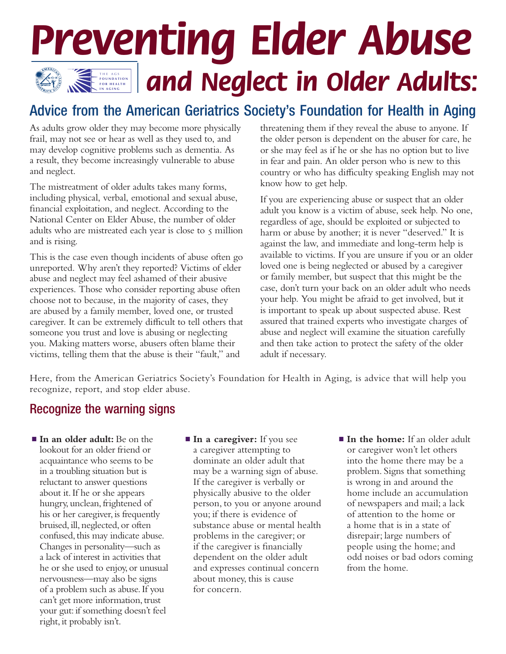## **THE ASSESSED AND AN ADDRECT IN Older Adults: F O U N D A T I O N F O R H E A L T H I N A G I N G** *Preventing Elder Abuse*

## Advice from the American Geriatrics Society's Foundation for Health in Aging

As adults grow older they may become more physically frail, may not see or hear as well as they used to, and may develop cognitive problems such as dementia. As a result, they become increasingly vulnerable to abuse and neglect.

The mistreatment of older adults takes many forms, including physical, verbal, emotional and sexual abuse, financial exploitation, and neglect. According to the National Center on Elder Abuse, the number of older adults who are mistreated each year is close to  $\varsigma$  million and is rising.

This is the case even though incidents of abuse often go unreported. Why aren't they reported? Victims of elder abuse and neglect may feel ashamed of their abusive experiences. Those who consider reporting abuse often choose not to because, in the majority of cases, they are abused by a family member, loved one, or trusted caregiver. It can be extremely difficult to tell others that someone you trust and love is abusing or neglecting you. Making matters worse, abusers often blame their victims, telling them that the abuse is their "fault," and

threatening them if they reveal the abuse to anyone. If the older person is dependent on the abuser for care, he or she may feel as if he or she has no option but to live in fear and pain. An older person who is new to this country or who has difficulty speaking English may not know how to get help.

If you are experiencing abuse or suspect that an older adult you know is a victim of abuse, seek help. No one, regardless of age, should be exploited or subjected to harm or abuse by another; it is never "deserved." It is against the law, and immediate and long-term help is available to victims. If you are unsure if you or an older loved one is being neglected or abused by a caregiver or family member, but suspect that this might be the case, don't turn your back on an older adult who needs your help. You might be afraid to get involved, but it is important to speak up about suspected abuse. Rest assured that trained experts who investigate charges of abuse and neglect will examine the situation carefully and then take action to protect the safety of the older adult if necessary.

Here, from the American Geriatrics Society's Foundation for Health in Aging, is advice that will help you recognize, report, and stop elder abuse.

### Recognize the warning signs

- In an older adult: Be on the lookout for an older friend or acquaintance who seems to be in a troubling situation but is reluctant to answer questions about it. If he or she appears hungry, unclean, frightened of his or her caregiver, is frequently bruised, ill, neglected, or often confused, this may indicate abuse. Changes in personality—such as a lack of interest in activities that he or she used to enjoy, or unusual nervousness—may also be signs of a problem such as abuse. If you can't get more information, trust your gut: if something doesn't feel right, it probably isn't.
- **In a caregiver:** If you see a caregiver attempting to dominate an older adult that may be a warning sign of abuse. If the caregiver is verbally or physically abusive to the older person, to you or anyone around you; if there is evidence of substance abuse or mental health problems in the caregiver; or if the caregiver is financially dependent on the older adult and expresses continual concern about money, this is cause for concern.
- **In the home:** If an older adult or caregiver won't let others into the home there may be a problem. Signs that something is wrong in and around the home include an accumulation of newspapers and mail; a lack of attention to the home or a home that is in a state of disrepair; large numbers of people using the home; and odd noises or bad odors coming from the home.